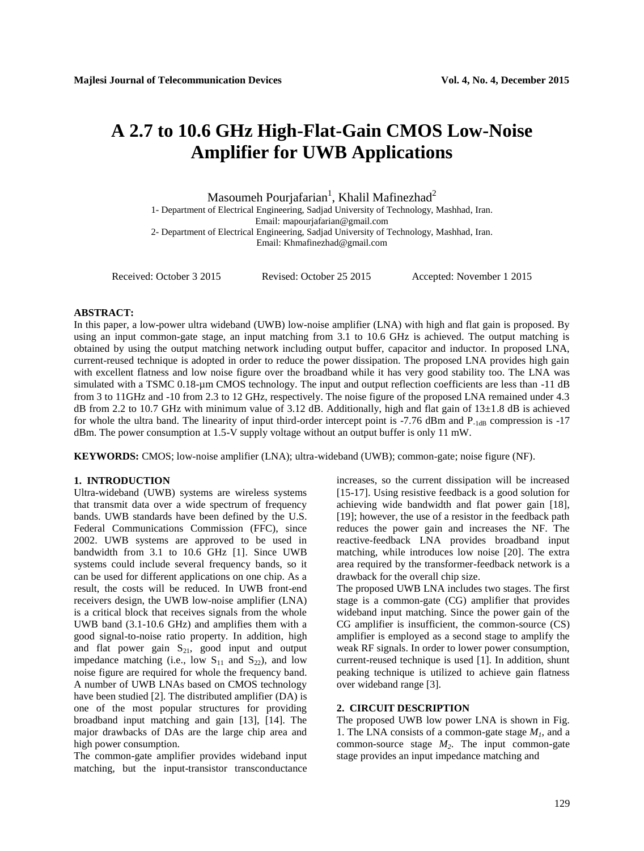# **A 2.7 to 10.6 GHz High-Flat-Gain CMOS Low-Noise Amplifier for UWB Applications**

Masoumeh Pourjafarian $^{\rm l}$ , Khalil Mafinezhad $^{\rm 2}$ 

1- Department of Electrical Engineering, Sadjad University of Technology, Mashhad, Iran. Email: mapourjafarian@gmail.com 2- Department of Electrical Engineering, Sadjad University of Technology, Mashhad, Iran. Email[: Khmafinezhad@gmail.com](mailto:Khmafinezhad@gmail.com)

Received: October 3 2015 Revised: October 25 2015 Accepted: November 1 2015

# **ABSTRACT:**

In this paper, a low-power ultra wideband (UWB) low-noise amplifier (LNA) with high and flat gain is proposed. By using an input common-gate stage, an input matching from 3.1 to 10.6 GHz is achieved. The output matching is obtained by using the output matching network including output buffer, capacitor and inductor. In proposed LNA, current-reused technique is adopted in order to reduce the power dissipation. The proposed LNA provides high gain with excellent flatness and low noise figure over the broadband while it has very good stability too. The LNA was simulated with a TSMC 0.18-µm CMOS technology. The input and output reflection coefficients are less than -11 dB from 3 to 11GHz and -10 from 2.3 to 12 GHz, respectively. The noise figure of the proposed LNA remained under 4.3 dB from 2.2 to 10.7 GHz with minimum value of 3.12 dB. Additionally, high and flat gain of  $13\pm1.8$  dB is achieved for whole the ultra band. The linearity of input third-order intercept point is -7.76 dBm and  $P_{-1dB}$  compression is -17 dBm. The power consumption at 1.5-V supply voltage without an output buffer is only 11 mW.

**KEYWORDS:** CMOS; low-noise amplifier (LNA); ultra-wideband (UWB); common-gate; noise figure (NF).

# **1. INTRODUCTION**

Ultra-wideband (UWB) systems are wireless systems that transmit data over a wide spectrum of frequency bands. UWB standards have been defined by the U.S. Federal Communications Commission (FFC), since 2002. UWB systems are approved to be used in bandwidth from 3.1 to 10.6 GHz [1]. Since UWB systems could include several frequency bands, so it can be used for different applications on one chip. As a result, the costs will be reduced. In UWB front-end receivers design, the UWB low-noise amplifier (LNA) is a critical block that receives signals from the whole UWB band (3.1-10.6 GHz) and amplifies them with a good signal-to-noise ratio property. In addition, high and flat power gain  $S_{21}$ , good input and output impedance matching (i.e., low  $S_{11}$  and  $S_{22}$ ), and low noise figure are required for whole the frequency band. A number of UWB LNAs based on CMOS technology have been studied [2]. The distributed amplifier (DA) is one of the most popular structures for providing broadband input matching and gain [13], [14]. The major drawbacks of DAs are the large chip area and high power consumption.

The common-gate amplifier provides wideband input matching, but the input-transistor transconductance

increases, so the current dissipation will be increased [15-17]. Using resistive feedback is a good solution for achieving wide bandwidth and flat power gain [18], [19]; however, the use of a resistor in the feedback path reduces the power gain and increases the NF. The reactive-feedback LNA provides broadband input matching, while introduces low noise [20]. The extra area required by the transformer-feedback network is a drawback for the overall chip size.

The proposed UWB LNA includes two stages. The first stage is a common-gate (CG) amplifier that provides wideband input matching. Since the power gain of the CG amplifier is insufficient, the common-source (CS) amplifier is employed as a second stage to amplify the weak RF signals. In order to lower power consumption, current-reused technique is used [1]. In addition, shunt peaking technique is utilized to achieve gain flatness over wideband range [3].

### **2. CIRCUIT DESCRIPTION**

The proposed UWB low power LNA is shown in Fig. 1. The LNA consists of a common-gate stage  $M<sub>1</sub>$ , and a common-source stage *M2*. The input common-gate stage provides an input impedance matching and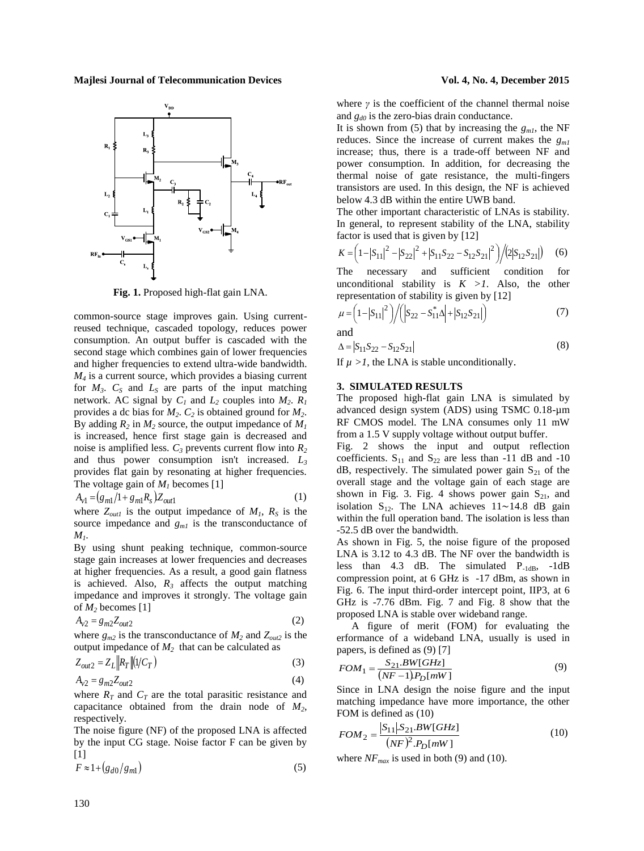**Majlesi Journal of Telecommunication Devices Vol. 4, No. 4, December 2015**



**Fig. 1.** Proposed high-flat gain LNA.

common-source stage improves gain. Using currentreused technique, cascaded topology, reduces power consumption. An output buffer is cascaded with the second stage which combines gain of lower frequencies and higher frequencies to extend ultra-wide bandwidth. *M<sup>4</sup>* is a current source, which provides a biasing current for  $M_3$ .  $C_5$  and  $L_5$  are parts of the input matching network. AC signal by  $C_1$  and  $L_2$  couples into  $M_2$ .  $R_1$ provides a dc bias for *M2*. *C<sup>2</sup>* is obtained ground for *M2*. By adding  $R_2$  in  $M_2$  source, the output impedance of  $M_1$ is increased, hence first stage gain is decreased and noise is amplified less. *C<sup>3</sup>* prevents current flow into *R<sup>2</sup>* and thus power consumption isn't increased. *L<sup>3</sup>* provides flat gain by resonating at higher frequencies. The voltage gain of *M<sup>1</sup>* becomes [1]

$$
A_{v1} = (g_{m1}/1 + g_{m1}R_s)Z_{out1}
$$
 (1)

where  $Z_{out1}$  is the output impedance of  $M_1$ ,  $R_S$  is the source impedance and  $g_{ml}$  is the transconductance of *M1*.

By using shunt peaking technique, common-source stage gain increases at lower frequencies and decreases at higher frequencies. As a result, a good gain flatness is achieved. Also,  $R_3$  affects the output matching impedance and improves it strongly. The voltage gain of *M<sup>2</sup>* becomes [1]

$$
A_{v2} = g_{m2} Z_{out2} \tag{2}
$$

where  $g_{m2}$  is the transconductance of  $M_2$  and  $Z_{out2}$  is the output impedance of  $M_2$  that can be calculated as

$$
Z_{out2} = Z_L \left\| R_T \right\| \left( 1/C_T \right) \tag{3}
$$

$$
A_{v2} = g_{m2} Z_{out2} \tag{4}
$$

where  $R_T$  and  $C_T$  are the total parasitic resistance and capacitance obtained from the drain node of *M2*, respectively.

The noise figure (NF) of the proposed LNA is affected by the input CG stage. Noise factor F can be given by  $[1]$ 

$$
F \approx 1 + \left(g_{d0}/g_{m1}\right) \tag{5}
$$

where  $\gamma$  is the coefficient of the channel thermal noise and *gd0* is the zero-bias drain conductance.

It is shown from (5) that by increasing the  $g_{ml}$ , the NF reduces. Since the increase of current makes the *gm1* increase; thus, there is a trade-off between NF and power consumption. In addition, for decreasing the thermal noise of gate resistance, the multi-fingers transistors are used. In this design, the NF is achieved below 4.3 dB within the entire UWB band.

The other important characteristic of LNAs is stability. In general, to represent stability of the LNA, stability factor is used that is given by [12]

$$
K = \left(1 - |S_{11}|^2 - |S_{22}|^2 + |S_{11}S_{22} - S_{12}S_{21}|^2\right) / (2|S_{12}S_{21}|) \tag{6}
$$

The necessary and sufficient condition for unconditional stability is  $K > 1$ . Also, the other representation of stability is given by [12]

$$
\mu = \left(1 - |S_{11}|^2\right) / \left( |S_{22} - S_{11}^* \Delta| + |S_{12} S_{21}| \right) \tag{7}
$$

and

$$
\Delta = |S_{11}S_{22} - S_{12}S_{21}| \tag{8}
$$

If  $\mu > 1$ , the LNA is stable unconditionally.

### **3. SIMULATED RESULTS**

The proposed high-flat gain LNA is simulated by advanced design system (ADS) using TSMC 0.18-µm RF CMOS model. The LNA consumes only 11 mW from a 1.5 V supply voltage without output buffer.

Fig. 2 shows the input and output reflection coefficients.  $S_{11}$  and  $S_{22}$  are less than -11 dB and -10  $dB$ , respectively. The simulated power gain  $S_{21}$  of the overall stage and the voltage gain of each stage are shown in Fig. 3. Fig. 4 shows power gain  $S_{21}$ , and isolation  $S_{12}$ . The LNA achieves  $11 \sim 14.8$  dB gain within the full operation band. The isolation is less than -52.5 dB over the bandwidth.

As shown in Fig. 5, the noise figure of the proposed LNA is 3.12 to 4.3 dB. The NF over the bandwidth is less than 4.3 dB. The simulated P-1dB, -1dB compression point, at 6 GHz is -17 dBm, as shown in Fig. 6. The input third-order intercept point, IIP3, at 6 GHz is -7.76 dBm. Fig. 7 and Fig. 8 show that the proposed LNA is stable over wideband range.

A figure of merit (FOM) for evaluating the erformance of a wideband LNA, usually is used in papers, is defined as (9) [7]

$$
FOM_1 = \frac{S_{21}.BW[GHz]}{(NF-1)P_D[mW]}
$$
 (9)

Since in LNA design the noise figure and the input matching impedance have more importance, the other FOM is defined as (10)

$$
FOM_2 = \frac{|S_{11}| S_{21}.BW[GHz]}{(NF)^2.P_D[mW]}
$$
 (10)

where  $NF_{max}$  is used in both (9) and (10).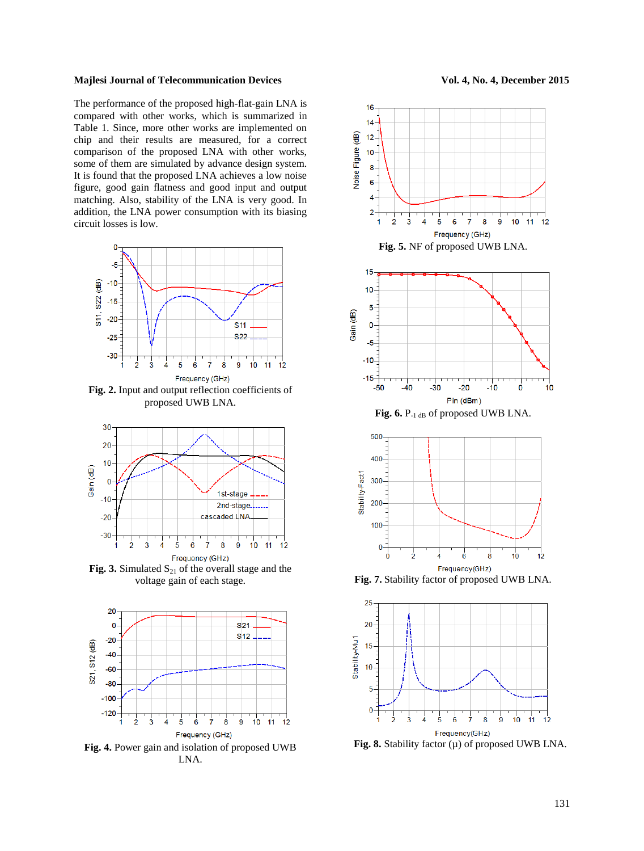## **Majlesi Journal of Telecommunication Devices Vol. 4, No. 4, December 2015**

The performance of the proposed high-flat-gain LNA is compared with other works, which is summarized in Table 1. Since, more other works are implemented on chip and their results are measured, for a correct comparison of the proposed LNA with other works, some of them are simulated by advance design system. It is found that the proposed LNA achieves a low noise figure, good gain flatness and good input and output matching. Also, stability of the LNA is very good. In addition, the LNA power consumption with its biasing circuit losses is low.



**Fig. 2.** Input and output reflection coefficients of proposed UWB LNA.



**Fig. 3.** Simulated  $S_{21}$  of the overall stage and the voltage gain of each stage.



**Fig. 4.** Power gain and isolation of proposed UWB LNA.





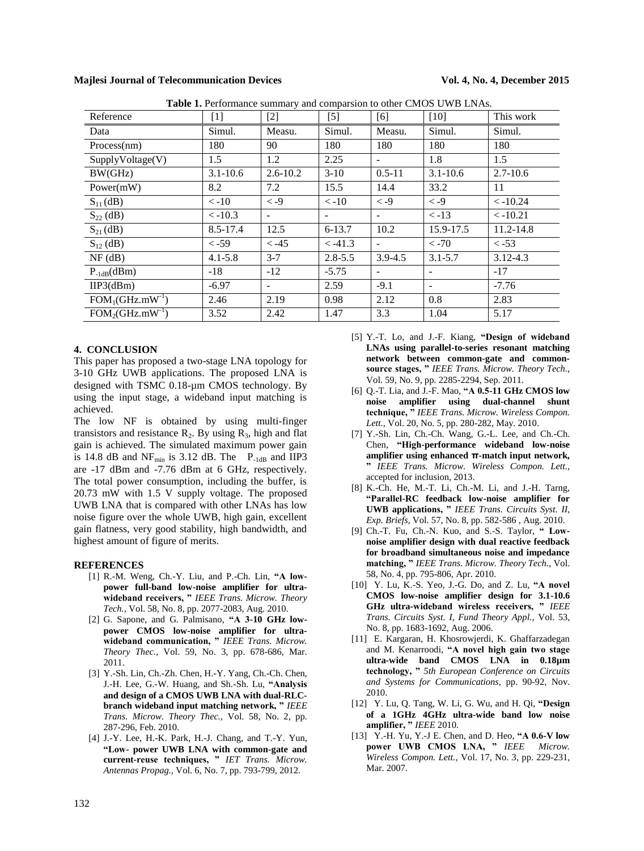**Majlesi Journal of Telecommunication Devices Vol. 4, No. 4, December 2015**

| Reference        | $[1]$                   | $[2]$                | $[5]$        | [6]                      | <b>Table 1.</b> Ferrormance summary and comparsion to other CMOS O WD ErvAs.<br>$[10]$ | This work                |
|------------------|-------------------------|----------------------|--------------|--------------------------|----------------------------------------------------------------------------------------|--------------------------|
| Data             | Simul.                  | Measu.               | Simul.       | Measu.                   | Simul.                                                                                 | Simul.                   |
| Process(nm)      | 180                     | 90                   | 180          | 180                      | 180                                                                                    | 180                      |
| SupplyVoltage(V) | 1.5                     | 1.2                  | 2.25         | $\overline{\phantom{a}}$ | 1.8                                                                                    | 1.5                      |
| BW(GHz)          | $3.1 - 10.6$            | $2.6 - 10.2$         | $3-10$       | $0.5 - 11$               | $3.1 - 10.6$                                                                           | $2.7 - 10.6$             |
| Power(mW)        | 8.2                     | 7.2                  | 15.5         | 14.4                     | 33.2                                                                                   | 11                       |
| $S_{11}(dB)$     | $\langle -10 \rangle$   | $\langle -9 \rangle$ | $\lt$ -10    | $\langle -9 \rangle$     | $\langle -9 \rangle$                                                                   | $\langle -10.24$         |
| $S_{22}$ (dB)    | $\langle -10.3 \rangle$ | -                    | -            | $\overline{\phantom{a}}$ | $\langle -13 \rangle$                                                                  | $\langle -10.21 \rangle$ |
| $S_{21}$ (dB)    | $8.5 - 17.4$            | 12.5                 | $6 - 13.7$   | 10.2                     | 15.9-17.5                                                                              | 11.2-14.8                |
| $S_{12}$ (dB)    | $< -59$                 | $< -45$              | $\leq -41.3$ | $\overline{\phantom{a}}$ | $\langle -70 \rangle$                                                                  | $\langle -53 \rangle$    |
| $NF$ (dB)        | $4.1 - 5.8$             | $3 - 7$              | $2.8 - 5.5$  | $3.9 - 4.5$              | $3.1 - 5.7$                                                                            | $3.12 - 4.3$             |
| $P_{-1dB}(dBm)$  | $-18$                   | $-12$                | $-5.75$      | $\overline{\phantom{a}}$ |                                                                                        | $-17$                    |
| HP3(dBm)         | $-6.97$                 |                      | 2.59         | $-9.1$                   | ٠                                                                                      | $-7.76$                  |
| $FOM1(GHz.mW-1)$ | 2.46                    | 2.19                 | 0.98         | 2.12                     | 0.8                                                                                    | 2.83                     |
| $FOM2(GHz.mW-1)$ | 3.52                    | 2.42                 | 1.47         | 3.3                      | 1.04                                                                                   | 5.17                     |

**Table 1.** Performance summary and comparsion to other CMOS UWB LNAs.

### **4. CONCLUSION**

This paper has proposed a two-stage LNA topology for 3-10 GHz UWB applications. The proposed LNA is designed with TSMC 0.18-µm CMOS technology. By using the input stage, a wideband input matching is achieved.

The low NF is obtained by using multi-finger transistors and resistance  $R_2$ . By using  $R_3$ , high and flat gain is achieved. The simulated maximum power gain is 14.8 dB and  $NF_{min}$  is 3.12 dB. The P<sub>-1dB</sub> and IIP3 are -17 dBm and -7.76 dBm at 6 GHz, respectively. The total power consumption, including the buffer, is 20.73 mW with 1.5 V supply voltage. The proposed UWB LNA that is compared with other LNAs has low noise figure over the whole UWB, high gain, excellent gain flatness, very good stability, high bandwidth, and highest amount of figure of merits.

#### **REFERENCES**

- [1] R.-M. Weng, Ch.-Y. Liu, and P.-Ch. Lin, **"A lowpower full-band low-noise amplifier for ultrawideband receivers, "** *IEEE Trans. Microw. Theory Tech.,* Vol. 58, No. 8, pp. 2077-2083, Aug. 2010.
- [2] G. Sapone, and G. Palmisano, **"A 3-10 GHz lowpower CMOS low-noise amplifier for ultrawideband communication, "** *IEEE Trans. Microw. Theory Thec.,* Vol. 59, No. 3, pp. 678-686, Mar. 2011.
- [3] Y.-Sh. Lin, Ch.-Zh. Chen, H.-Y. Yang, Ch.-Ch. Chen, J.-H. Lee, G.-W. Huang, and Sh.-Sh. Lu, **"Analysis and design of a CMOS UWB LNA with dual-RLCbranch wideband input matching network, "** *IEEE Trans. Microw. Theory Thec.,* Vol. 58, No. 2, pp. 287-296, Feb. 2010.
- [4] J.-Y. Lee, H.-K. Park, H.-J. Chang, and T.-Y. Yun, **"Low- power UWB LNA with common-gate and current-reuse techniques, "** *IET Trans. Microw. Antennas Propag.,* Vol. 6, No. 7, pp. 793-799, 2012.
- [5] Y.-T. Lo, and J.-F. Kiang, **"Design of wideband LNAs using parallel-to-series resonant matching network between common-gate and commonsource stages, "** *IEEE Trans. Microw. Theory Tech.,* Vol. 59, No. 9, pp. 2285-2294, Sep. 2011.
- [6] Q.-T. Lia, and J.-F. Mao, **"A 0.5-11 GHz CMOS low noise amplifier using dual-channel shunt technique, "** *IEEE Trans. Microw. Wireless Compon. Lett.,* Vol. 20, No. 5, pp. 280-282, May. 2010.
- [7] Y.-Sh. Lin, Ch.-Ch. Wang, G.-L. Lee, and Ch.-Ch. Chen, **"High-performance wideband low-noise amplifier using enhanced π-match input network, "** *IEEE Trans. Microw. Wireless Compon. Lett.,* accepted for inclusion, 2013.
- [8] K.-Ch. He, M.-T. Li, Ch.-M. Li, and J.-H. Tarng, **"Parallel-RC feedback low-noise amplifier for UWB applications, "** *IEEE Trans. Circuits Syst. II, Exp. Briefs,* Vol. 57, No. 8, pp. 582-586 , Aug. 2010.
- [9] Ch.-T. Fu, Ch.-N. Kuo, and S.-S. Taylor, **" Lownoise amplifier design with dual reactive feedback for broadband simultaneous noise and impedance matching, "** *IEEE Trans. Microw. Theory Tech.,* Vol. 58, No. 4, pp. 795-806, Apr. 2010.
- [10] Y. Lu, K.-S. Yeo, J.-G. Do, and Z. Lu, **"A novel CMOS low-noise amplifier design for 3.1-10.6 GHz ultra-wideband wireless receivers, "** *IEEE Trans. Circuits Syst. I, Fund Theory Appl.,* Vol. 53, No. 8, pp. 1683-1692, Aug. 2006.
- [11] E. Kargaran, H. Khosrowjerdi, K. Ghaffarzadegan and M. Kenarroodi, **"A novel high gain two stage ultra-wide band CMOS LNA in 0.18µm technology, "** *5th European Conference on Circuits and Systems for Communications,* pp. 90-92, Nov. 2010.
- [12] Y. Lu, Q. Tang, W. Li, G. Wu, and H. Qi, **"Design of a 1GHz 4GHz ultra-wide band low noise amplifier, "** *IEEE* 2010.
- [13] Y.-H. Yu, Y.-J E. Chen, and D. Heo, **"A 0.6-V low power UWB CMOS LNA, "** *IEEE Microw. Wireless Compon. Lett.,* Vol. 17, No. 3, pp. 229-231, Mar. 2007.